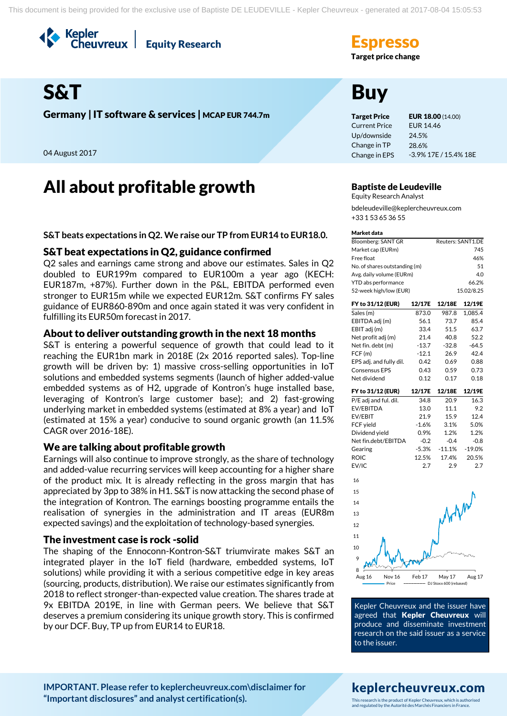Kepler<br>Cheuvreux **Equity Research** 

# **Target price change**

# S&T Buy

Germany | IT software & services | MCAP EUR 744.7m Target Price EUR 18.00 (14.00)

04 August 2017

# All about profitable growth Baptiste de Leudeville

**S&T beats expectations in Q2. We raise our TP from EUR14 to EUR18.0.**

# S&T beat expectations in Q2, guidance confirmed

Q2 sales and earnings came strong and above our estimates. Sales in Q2 doubled to EUR199m compared to EUR100m a year ago (KECH: EUR187m, +87%). Further down in the P&L, EBITDA performed even stronger to EUR15m while we expected EUR12m. S&T confirms FY sales guidance of EUR860-890m and once again stated it was very confident in fulfilling its EUR50m forecast in 2017.

# About to deliver outstanding growth in the next 18 months

S&T is entering a powerful sequence of growth that could lead to it reaching the EUR1bn mark in 2018E (2x 2016 reported sales). Top-line growth will be driven by: 1) massive cross-selling opportunities in IoT solutions and embedded systems segments (launch of higher added-value embedded systems as of H2, upgrade of Kontron's huge installed base, leveraging of Kontron's large customer base); and 2) fast-growing underlying market in embedded systems (estimated at 8% a year) and IoT (estimated at 15% a year) conducive to sound organic growth (an 11.5% CAGR over 2016-18E).

# We are talking about profitable growth

Earnings will also continue to improve strongly, as the share of technology and added-value recurring services will keep accounting for a higher share of the product mix. It is already reflecting in the gross margin that has appreciated by 3pp to 38% in H1. S&T is now attacking the second phase of the integration of Kontron. The earnings boosting programme entails the realisation of synergies in the administration and IT areas (EUR8m expected savings) and the exploitation of technology-based synergies.

# The investment case is rock -solid

The shaping of the Ennoconn-Kontron-S&T triumvirate makes S&T an integrated player in the IoT field (hardware, embedded systems, IoT solutions) while providing it with a serious competitive edge in key areas (sourcing, products, distribution). We raise our estimates significantly from 2018 to reflect stronger-than-expected value creation. The shares trade at 9x EBITDA 2019E, in line with German peers. We believe that S&T deserves a premium considering its unique growth story. This is confirmed by our DCF. Buy, TP up from EUR14 to EUR18.

Current Price Up/downside Change in TP Change in EPS EUR 14.46 24.5% 28.6% -3.9% 17E / 15.4% 18E

Equity Research Analyst bdeleudeville@keplercheuvreux.com +33 1 53 65 36 55

#### Market data

| Bloomberg: SANT GR            | Reuters: SANT1.DE |
|-------------------------------|-------------------|
| Market cap (EURm)             | 745               |
| Free float                    | 46%               |
| No. of shares outstanding (m) | 51                |
| Avg. daily volume (EURm)      | 40                |
| YTD abs performance           | 66.2%             |
| 52-week high/low (EUR)        | 15.02/8.25        |

| FY to 31/12 (EUR)       | 12/17E  | 12/18E   | 12/19E   |
|-------------------------|---------|----------|----------|
| Sales (m)               | 873.0   | 987.8    | 1,085.4  |
| EBITDA adj (m)          | 56.1    | 73.7     | 85.4     |
| EBIT adj (m)            | 33.4    | 51.5     | 63.7     |
| Net profit adj (m)      | 21.4    | 40.8     | 52.2     |
| Net fin. debt (m)       | $-13.7$ | $-32.8$  | $-64.5$  |
| FCF(m)                  | $-12.1$ | 26.9     | 42.4     |
| EPS adj. and fully dil. | 0.42    | 0.69     | 0.88     |
| <b>Consensus EPS</b>    | 0.43    | 0.59     | 0.73     |
| Net dividend            | 0.12    | 0.17     | 0.18     |
|                         |         |          |          |
| FY to 31/12 (EUR)       | 12/17E  | 12/18E   | 12/19E   |
| P/E adj and ful. dil.   | 34.8    | 20.9     | 16.3     |
| EV/EBITDA               | 13.0    | 11.1     | 9.2      |
| EV/EBIT                 | 21.9    | 15.9     | 12.4     |
| FCF yield               | $-1.6%$ | 3.1%     | 5.0%     |
| Dividend yield          | 0.9%    | 1.2%     | 1.2%     |
| Net fin.debt/EBITDA     | $-0.2$  | $-0.4$   | $-0.8$   |
| Gearing                 | $-5.3%$ | $-11.1%$ | $-19.0%$ |



EV/IC 2.7 2.9 2.7

Kepler Cheuvreux and the issuer have agreed that Kepler Cheuvreux will produce and disseminate investment research on the said issuer as a service to the issuer.

### **[IMPORTANT. Please refer to keplercheuvreux.com\disclaimer for](https://research.keplercheuvreux.com/ResearchCenter.aspx#/Disclosure)  ["Important disclosures" and analyst certification\(s\).](https://research.keplercheuvreux.com/ResearchCenter.aspx#/Disclosure)**

# keplercheuvreux.com

This research is the product of Kepler Cheuvreux, which is authorised and regulated by the Autorité des Marchés Financiers in France.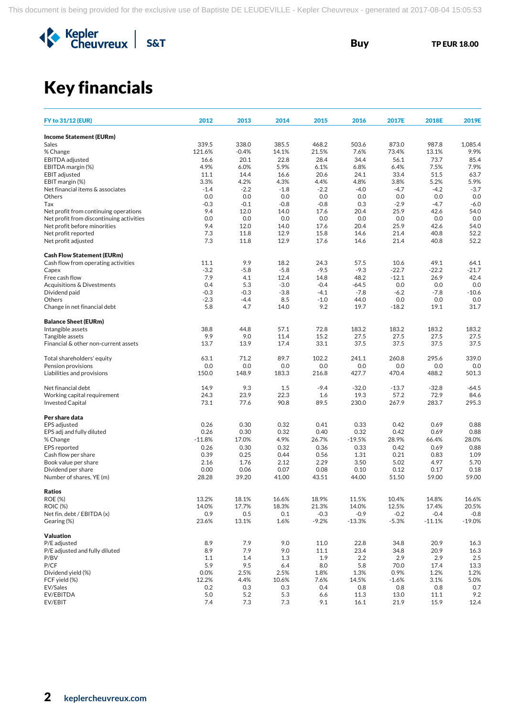

# Key financials

| <b>FY to 31/12 (EUR)</b>                       | 2012          | 2013           | 2014           | 2015           | 2016          | 2017E          | 2018E          | 2019E          |
|------------------------------------------------|---------------|----------------|----------------|----------------|---------------|----------------|----------------|----------------|
| <b>Income Statement (EURm)</b>                 |               |                |                |                |               |                |                |                |
| Sales                                          | 339.5         | 338.0          | 385.5          | 468.2          | 503.6         | 873.0          | 987.8          | 1,085.4        |
| % Change                                       | 121.6%        | $-0.4%$        | 14.1%          | 21.5%          | 7.6%          | 73.4%          | 13.1%          | 9.9%           |
| <b>EBITDA</b> adjusted                         | 16.6          | 20.1           | 22.8           | 28.4           | 34.4          | 56.1           | 73.7           | 85.4           |
| EBITDA margin (%)                              | 4.9%          | 6.0%           | 5.9%           | 6.1%           | 6.8%          | 6.4%           | 7.5%           | 7.9%           |
| <b>EBIT</b> adjusted                           | 11.1          | 14.4           | 16.6           | 20.6           | 24.1          | 33.4           | 51.5           | 63.7           |
| EBIT margin (%)                                | 3.3%          | 4.2%           | 4.3%           | 4.4%           | 4.8%          | 3.8%           | 5.2%           | 5.9%           |
| Net financial items & associates               | $-1.4$        | $-2.2$         | $-1.8$         | $-2.2$         | $-4.0$        | $-4.7$         | $-4.2$         | $-3.7$         |
| Others                                         | 0.0           | 0.0            | 0.0            | 0.0            | 0.0           | 0.0            | 0.0            | 0.0            |
| Tax<br>Net profit from continuing operations   | $-0.3$<br>9.4 | $-0.1$<br>12.0 | $-0.8$<br>14.0 | $-0.8$<br>17.6 | 0.3<br>20.4   | $-2.9$<br>25.9 | $-4.7$<br>42.6 | $-6.0$<br>54.0 |
| Net profit from discontinuing activities       | 0.0           | 0.0            | 0.0            | 0.0            | 0.0           | 0.0            | 0.0            | 0.0            |
| Net profit before minorities                   | 9.4           | 12.0           | 14.0           | 17.6           | 20.4          | 25.9           | 42.6           | 54.0           |
| Net profit reported                            | 7.3           | 11.8           | 12.9           | 15.8           | 14.6          | 21.4           | 40.8           | 52.2           |
| Net profit adjusted                            | 7.3           | 11.8           | 12.9           | 17.6           | 14.6          | 21.4           | 40.8           | 52.2           |
| <b>Cash Flow Statement (EURm)</b>              |               |                |                |                |               |                |                |                |
| Cash flow from operating activities            | 11.1          | 9.9            | 18.2           | 24.3           | 57.5          | 10.6           | 49.1           | 64.1           |
| Capex                                          | $-3.2$        | $-5.8$         | $-5.8$         | $-9.5$         | $-9.3$        | $-22.7$        | $-22.2$        | $-21.7$        |
| Free cash flow                                 | 7.9           | 4.1            | 12.4           | 14.8           | 48.2          | $-12.1$        | 26.9           | 42.4           |
| Acquisitions & Divestments                     | 0.4           | 5.3            | $-3.0$         | $-0.4$         | $-64.5$       | 0.0            | 0.0            | 0.0            |
| Dividend paid                                  | $-0.3$        | $-0.3$         | $-3.8$         | $-4.1$         | $-7.8$        | $-6.2$         | $-7.8$         | $-10.6$        |
| Others                                         | $-2.3$        | $-4.4$         | 8.5            | $-1.0$         | 44.0          | 0.0            | 0.0            | 0.0            |
| Change in net financial debt                   | 5.8           | 4.7            | 14.0           | 9.2            | 19.7          | $-18.2$        | 19.1           | 31.7           |
| <b>Balance Sheet (EURm)</b>                    |               |                |                |                |               |                |                |                |
| Intangible assets                              | 38.8          | 44.8           | 57.1           | 72.8           | 183.2         | 183.2          | 183.2          | 183.2          |
| Tangible assets                                | 9.9           | 9.0            | 11.4           | 15.2           | 27.5          | 27.5           | 27.5           | 27.5           |
| Financial & other non-current assets           | 13.7          | 13.9           | 17.4           | 33.1           | 37.5          | 37.5           | 37.5           | 37.5           |
| Total shareholders' equity                     | 63.1          | 71.2           | 89.7           | 102.2          | 241.1         | 260.8          | 295.6          | 339.0          |
| Pension provisions                             | 0.0           | 0.0            | 0.0            | 0.0            | 0.0           | 0.0            | 0.0            | 0.0            |
| Liabilities and provisions                     | 150.0         | 148.9          | 183.3          | 216.8          | 427.7         | 470.4          | 488.2          | 501.3          |
| Net financial debt                             | 14.9          | 9.3            | 1.5            | $-9.4$         | $-32.0$       | $-13.7$        | $-32.8$        | $-64.5$        |
| Working capital requirement                    | 24.3          | 23.9           | 22.3           | 1.6            | 19.3          | 57.2           | 72.9           | 84.6           |
| <b>Invested Capital</b>                        | 73.1          | 77.6           | 90.8           | 89.5           | 230.0         | 267.9          | 283.7          | 295.3          |
| Per share data                                 |               |                |                |                |               |                |                |                |
| EPS adjusted                                   | 0.26          | 0.30           | 0.32           | 0.41           | 0.33          | 0.42           | 0.69           | 0.88           |
| EPS adj and fully diluted                      | 0.26          | 0.30           | 0.32           | 0.40           | 0.32          | 0.42           | 0.69           | 0.88           |
| % Change                                       | $-11.8%$      | 17.0%          | 4.9%           | 26.7%          | $-19.5%$      | 28.9%          | 66.4%          | 28.0%          |
| <b>EPS</b> reported                            | 0.26          | 0.30           | 0.32           | 0.36           | 0.33          | 0.42           | 0.69           | 0.88           |
| Cash flow per share                            | 0.39          | 0.25           | 0.44           | 0.56           | 1.31          | 0.21           | 0.83           | 1.09           |
| Book value per share                           | 2.16          | 1.76           | 2.12           | 2.29           | 3.50          | 5.02           | 4.97           | 5.70           |
| Dividend per share<br>Number of shares, YE (m) | 0.00<br>28.28 | 0.06<br>39.20  | 0.07<br>41.00  | 0.08<br>43.51  | 0.10<br>44.00 | 0.12<br>51.50  | 0.17<br>59.00  | 0.18<br>59.00  |
| <b>Ratios</b>                                  |               |                |                |                |               |                |                |                |
| <b>ROE (%)</b>                                 | 13.2%         | 18.1%          | 16.6%          | 18.9%          | 11.5%         | 10.4%          | 14.8%          | 16.6%          |
| <b>ROIC (%)</b>                                | 14.0%         | 17.7%          | 18.3%          | 21.3%          | 14.0%         | 12.5%          | 17.4%          | 20.5%          |
| Net fin. debt / EBITDA (x)                     | 0.9           | $0.5\,$        | 0.1            | $-0.3$         | $-0.9$        | $-0.2$         | $-0.4$         | $-0.8$         |
| Gearing (%)                                    | 23.6%         | 13.1%          | 1.6%           | $-9.2%$        | $-13.3%$      | $-5.3%$        | $-11.1%$       | $-19.0%$       |
| Valuation                                      |               |                |                |                |               |                |                |                |
| P/E adjusted                                   | 8.9           | 7.9            | 9.0            | 11.0           | 22.8          | 34.8           | 20.9           | 16.3           |
| P/E adjusted and fully diluted                 | 8.9           | 7.9            | 9.0            | 11.1           | 23.4          | 34.8           | 20.9           | 16.3           |
| P/BV                                           | 1.1           | 1.4            | 1.3            | 1.9            | 2.2           | 2.9            | 2.9            | 2.5            |
| P/CF                                           | 5.9           | 9.5            | 6.4            | 8.0            | 5.8           | 70.0           | 17.4           | 13.3           |
| Dividend yield (%)                             | 0.0%          | 2.5%           | 2.5%           | 1.8%           | 1.3%          | 0.9%           | 1.2%           | 1.2%           |
| FCF yield (%)                                  | 12.2%         | 4.4%           | 10.6%          | 7.6%           | 14.5%         | $-1.6%$        | 3.1%           | 5.0%           |
| EV/Sales                                       | 0.2           | 0.3            | 0.3            | 0.4            | 0.8           | 0.8            | 0.8            | 0.7            |
| EV/EBITDA                                      | 5.0           | 5.2            | 5.3            | 6.6            | 11.3          | 13.0           | 11.1           | 9.2            |
| EV/EBIT                                        | 7.4           | 7.3            | 7.3            | 9.1            | 16.1          | 21.9           | 15.9           | 12.4           |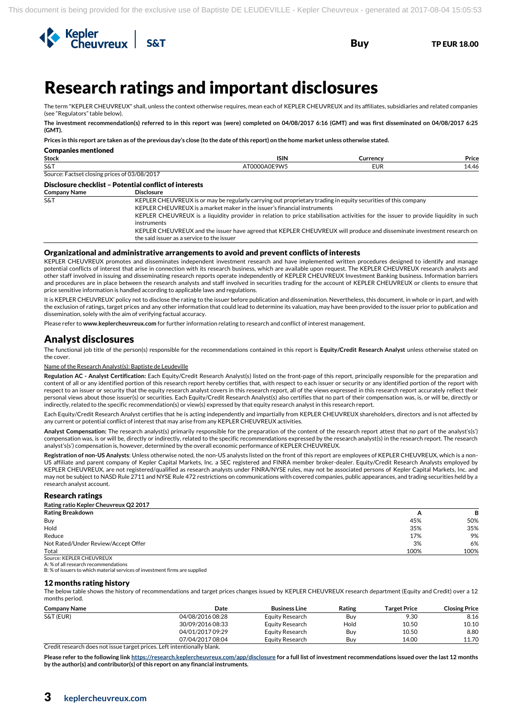

# <sup>3</sup>Research ratings and important disclosures

The term "KEPLER CHEUVREUX" shall, unless the context otherwise requires, mean each of KEPLER CHEUVREUX and its affiliates, subsidiaries and related companies (see "Regulators" table below).

**The investment recommendation(s) referred to in this report was (were) completed on 04/08/2017 6:16 (GMT) and was first disseminated on 04/08/2017 6:25 (GMT).**

**Prices in this report are taken as of the previous day's close (to the date of this report) on the home market unless otherwise stated.**

| <b>Companies mentioned</b>                   |                                                                                                                                                                                           |            |       |
|----------------------------------------------|-------------------------------------------------------------------------------------------------------------------------------------------------------------------------------------------|------------|-------|
| <b>Stock</b>                                 | <b>ISIN</b>                                                                                                                                                                               | Currency   | Price |
| S&T                                          | AT0000A0E9W5                                                                                                                                                                              | <b>EUR</b> | 14.46 |
| Source: Factset closing prices of 03/08/2017 |                                                                                                                                                                                           |            |       |
|                                              | Disclosure checklist - Potential conflict of interests                                                                                                                                    |            |       |
| <b>Company Name</b>                          | <b>Disclosure</b>                                                                                                                                                                         |            |       |
| S&T                                          | KEPLER CHEUVREUX is or may be regularly carrying out proprietary trading in equity securities of this company<br>KEPLER CHEUVREUX is a market maker in the issuer's financial instruments |            |       |
|                                              | KEPLER CHEUVREUX is a liquidity provider in relation to price stabilisation activities for the issuer to provide liquidity in such                                                        |            |       |
|                                              | instruments                                                                                                                                                                               |            |       |
|                                              | KEPLER CHEUVREUX and the issuer have agreed that KEPLER CHEUVREUX will produce and disseminate investment research on                                                                     |            |       |
|                                              | the said issuer as a service to the issuer                                                                                                                                                |            |       |

#### Organizational and administrative arrangements to avoid and prevent conflicts of interests

KEPLER CHEUVREUX promotes and disseminates independent investment research and have implemented written procedures designed to identify and manage potential conflicts of interest that arise in connection with its research business, which are available upon request. The KEPLER CHEUVREUX research analysts and other staff involved in issuing and disseminating research reports operate independently of KEPLER CHEUVREUX Investment Banking business. Information barriers and procedures are in place between the research analysts and staff involved in securities trading for the account of KEPLER CHEUVREUX or clients to ensure that price sensitive information is handled according to applicable laws and regulations.

It is KEPLER CHEUVREUX' policy not to disclose the rating to the issuer before publication and dissemination. Nevertheless, this document, in whole or in part, and with the exclusion of ratings, target prices and any other information that could lead to determine its valuation, may have been provided to the issuer prior to publication and dissemination, solely with the aim of verifying factual accuracy.

Please refer to **www.keplercheuvreux.com** for further information relating to research and conflict of interest management.

### Analyst disclosures

The functional job title of the person(s) responsible for the recommendations contained in this report is **Equity/Credit Research Analyst** unless otherwise stated on the cover.

#### Name of the Research Analyst(s): Baptiste de Leudeville

**Regulation AC - Analyst Certification:** Each Equity/Credit Research Analyst(s) listed on the front-page of this report, principally responsible for the preparation and content of all or any identified portion of this research report hereby certifies that, with respect to each issuer or security or any identified portion of the report with respect to an issuer or security that the equity research analyst covers in this research report, all of the views expressed in this research report accurately reflect their personal views about those issuer(s) or securities. Each Equity/Credit Research Analyst(s) also certifies that no part of their compensation was, is, or will be, directly or indirectly, related to the specific recommendation(s) or view(s) expressed by that equity research analyst in this research report.

Each Equity/Credit Research Analyst certifies that he is acting independently and impartially from KEPLER CHEUVREUX shareholders, directors and is not affected by any current or potential conflict of interest that may arise from any KEPLER CHEUVREUX activities.

**Analyst Compensation:** The research analyst(s) primarily responsible for the preparation of the content of the research report attest that no part of the analyst's(s') compensation was, is or will be, directly or indirectly, related to the specific recommendations expressed by the research analyst(s) in the research report. The research analyst's(s') compensation is, however, determined by the overall economic performance of KEPLER CHEUVREUX.

**Registration of non-US Analysts**: Unless otherwise noted, the non-US analysts listed on the front of this report are employees of KEPLER CHEUVREUX, which is a non-US affiliate and parent company of Kepler Capital Markets, Inc. a SEC registered and FINRA member broker-dealer. Equity/Credit Research Analysts employed by KEPLER CHEUVREUX, are not registered/qualified as research analysts under FINRA/NYSE rules, may not be associated persons of Kepler Capital Markets, Inc. and may not be subject to NASD Rule 2711 and NYSE Rule 472 restrictions on communications with covered companies, public appearances, and trading securities held by a research analyst account.

#### Research ratings

| Rating ratio Kepler Cheuvreux Q2 2017 |              |      |
|---------------------------------------|--------------|------|
| <b>Rating Breakdown</b>               | $\mathsf{A}$ | в    |
| Buy                                   | 45%          | 50%  |
| Hold                                  | 35%          | 35%  |
| Reduce                                | 17%          | 9%   |
| Not Rated/Under Review/Accept Offer   | 3%           | 6%   |
| Total                                 | 100%         | 100% |
| Source: KEPLER CHEUVREUX              |              |      |

A: % of all research recommendations

B: % of issuers to which material services of investment firms are supplied

#### 12 months rating history

The below table shows the history of recommendations and target prices changes issued by KEPLER CHEUVREUX research department (Equity and Credit) over a 12 months period.

| <b>Company Name</b> | Date                 | <b>Business Line</b> | Rating | Target Price | <b>Closing Price</b> |
|---------------------|----------------------|----------------------|--------|--------------|----------------------|
| S&T (EUR)           | 04/08/2016 08:28     | Equity Research      | Buy    | 9.30         | 8.16                 |
|                     | 30/09/2016 08:33     | Equity Research      | Hold   | 10.50        | 10.10                |
|                     | 04/01/2017 09:29     | Equity Research      | Buy    | 10.50        | 8.80                 |
|                     | 07/04/2017 08:04     | Equity Research      | Buv    | 14.00        | 11.70                |
| $\sim$ $\sim$       | $\sim$ $\sim$ $\sim$ |                      |        |              |                      |

Credit research does not issue target prices. Left intentionally blank.

**Please refer to the following lin[k https://research.keplercheuvreux.com/app/disclosure](https://research.keplercheuvreux.com/app/disclosure/stock/8466) for a full list of investment recommendations issued over the last 12 months by the author(s) and contributor(s) of this report on any financial instruments.**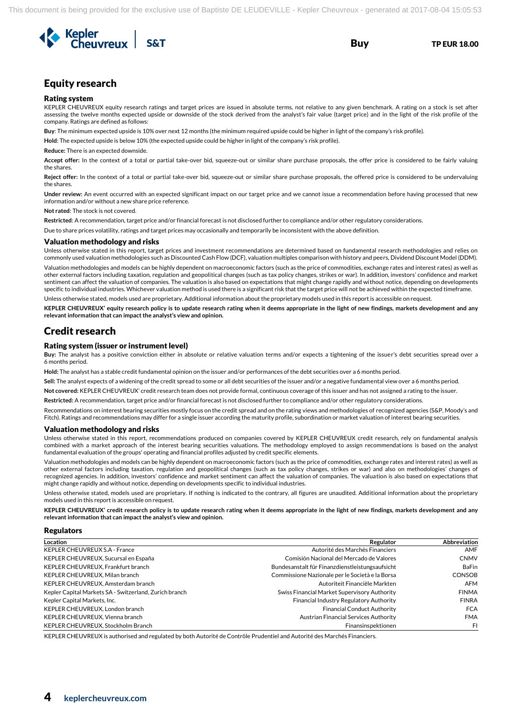

# Equity research

#### Rating system

KEPLER CHEUVREUX equity research ratings and target prices are issued in absolute terms, not relative to any given benchmark. A rating on a stock is set after assessing the twelve months expected upside or downside of the stock derived from the analyst's fair value (target price) and in the light of the risk profile of the company. Ratings are defined as follows:

**Buy**: The minimum expected upside is 10% over next 12 months (the minimum required upside could be higher in light of the company's risk profile).

**Hold**: The expected upside is below 10% (the expected upside could be higher in light of the company's risk profile).

**Reduce:** There is an expected downside.

**Accept offer:** In the context of a total or partial take-over bid, squeeze-out or similar share purchase proposals, the offer price is considered to be fairly valuing the shares.

**Reject offer:** In the context of a total or partial take-over bid, squeeze-out or similar share purchase proposals, the offered price is considered to be undervaluing the shares.

**Under review:** An event occurred with an expected significant impact on our target price and we cannot issue a recommendation before having processed that new information and/or without a new share price reference.

**Not rated**: The stock is not covered.

**Restricted**: A recommendation, target price and/or financial forecast is not disclosed further to compliance and/or other regulatory considerations.

Due to share prices volatility, ratings and target prices may occasionally and temporarily be inconsistent with the above definition.

#### Valuation methodology and risks

Unless otherwise stated in this report, target prices and investment recommendations are determined based on fundamental research methodologies and relies on commonly used valuation methodologies such as Discounted Cash Flow (DCF), valuation multiples comparison with history and peers, Dividend Discount Model (DDM).

Valuation methodologies and models can be highly dependent on macroeconomic factors (such as the price of commodities, exchange rates and interest rates) as well as other external factors including taxation, regulation and geopolitical changes (such as tax policy changes, strikes or war). In addition, investors' confidence and market sentiment can affect the valuation of companies. The valuation is also based on expectations that might change rapidly and without notice, depending on developments specific to individual industries. Whichever valuation method is used there is a significant risk that the target price will not be achieved within the expected timeframe.

Unless otherwise stated, models used are proprietary. Additional information about the proprietary models used in this report is accessible on request.

**KEPLER CHEUVREUX' equity research policy is to update research rating when it deems appropriate in the light of new findings, markets development and any relevant information that can impact the analyst's view and opinion.**

### Credit research

#### Rating system (issuer or instrument level)

**Buy:** The analyst has a positive conviction either in absolute or relative valuation terms and/or expects a tightening of the issuer's debt securities spread over a 6 months period.

**Hold:** The analyst has a stable credit fundamental opinion on the issuer and/or performances of the debt securities over a 6 months period.

**Sell:** The analyst expects of a widening of the credit spread to some or all debt securities of the issuer and/or a negative fundamental view over a 6 months period.

**Not covered:** KEPLER CHEUVREUX' credit research team does not provide formal, continuous coverage of this issuer and has not assigned a rating to the issuer.

**Restricted:** A recommendation, target price and/or financial forecast is not disclosed further to compliance and/or other regulatory considerations.

Recommendations on interest bearing securities mostly focus on the credit spread and on the rating views and methodologies of recognized agencies (S&P, Moody's and Fitch). Ratings and recommendations may differ for a single issuer according the maturity profile, subordination or market valuation of interest bearing securities.

#### Valuation methodology and risks

Unless otherwise stated in this report, recommendations produced on companies covered by KEPLER CHEUVREUX credit research, rely on fundamental analysis combined with a market approach of the interest bearing securities valuations. The methodology employed to assign recommendations is based on the analyst fundamental evaluation of the groups' operating and financial profiles adjusted by credit specific elements.

Valuation methodologies and models can be highly dependent on macroeconomic factors (such as the price of commodities, exchange rates and interest rates) as well as other external factors including taxation, regulation and geopolitical changes (such as tax policy changes, strikes or war) and also on methodologies' changes of recognized agencies. In addition, investors' confidence and market sentiment can affect the valuation of companies. The valuation is also based on expectations that might change rapidly and without notice, depending on developments specific to individual industries.

Unless otherwise stated, models used are proprietary. If nothing is indicated to the contrary, all figures are unaudited. Additional information about the proprietary models used in this report is accessible on request.

**KEPLER CHEUVREUX' credit research policy is to update research rating when it deems appropriate in the light of new findings, markets development and any relevant information that can impact the analyst's view and opinion.** 

#### Regulators

| Location                                               | Regulator                                       | <b>Abbreviation</b> |
|--------------------------------------------------------|-------------------------------------------------|---------------------|
| KEPLER CHEUVREUX S.A - France                          | Autorité des Marchés Financiers                 | AMF                 |
| KEPLER CHEUVREUX, Sucursal en España                   | Comisión Nacional del Mercado de Valores        | <b>CNMV</b>         |
| KEPLER CHEUVREUX, Frankfurt branch                     | Bundesanstalt für Finanzdienstleistungsaufsicht | <b>BaFin</b>        |
| KEPLER CHEUVREUX, Milan branch                         | Commissione Nazionale per le Società e la Borsa | <b>CONSOB</b>       |
| KEPLER CHEUVREUX, Amsterdam branch                     | Autoriteit Financiële Markten                   | AFM                 |
| Kepler Capital Markets SA - Switzerland, Zurich branch | Swiss Financial Market Supervisory Authority    | <b>FINMA</b>        |
| Kepler Capital Markets, Inc.                           | Financial Industry Regulatory Authority         | <b>FINRA</b>        |
| KEPLER CHEUVREUX, London branch                        | <b>Financial Conduct Authority</b>              | <b>FCA</b>          |
| KEPLER CHEUVREUX, Vienna branch                        | Austrian Financial Services Authority           | <b>FMA</b>          |
| KEPLER CHEUVREUX, Stockholm Branch                     | Finansinspektionen                              | FL.                 |

KEPLER CHEUVREUX is authorised and regulated by both Autorité de Contrôle Prudentiel and Autorité des Marchés Financiers.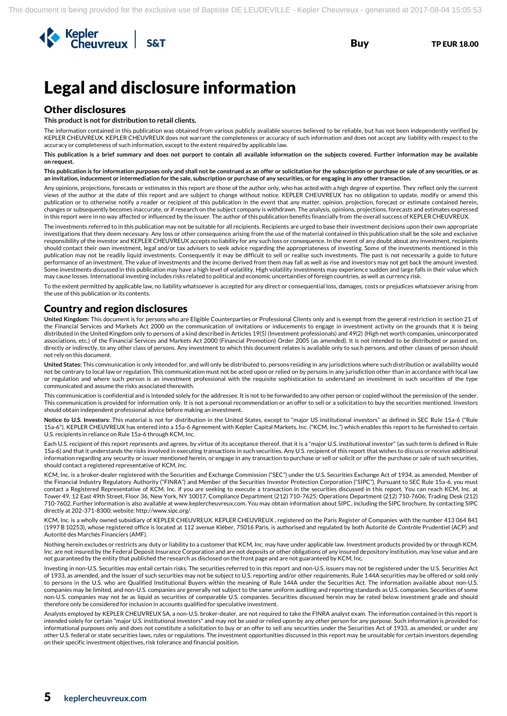

# Legal and disclosure information

## Other disclosures

**This product is not for distribution to retail clients.**

The information contained in this publication was obtained from various publicly available sources believed to be reliable, but has not been independently verified by KEPLER CHEUVREUX. KEPLER CHEUVREUX does not warrant the completeness or accuracy of such information and does not accept any liability with respect to the accuracy or completeness of such information, except to the extent required by applicable law.

**This publication is a brief summary and does not purport to contain all available information on the subjects covered. Further information may be available on request.**

**This publication is for information purposes only and shall not be construed as an offer or solicitation for the subscription or purchase or sale of any securities, or as an invitation, inducement or intermediation for the sale, subscription or purchase of any securities, or for engaging in any other transaction.**

Any opinions, projections, forecasts or estimates in this report are those of the author only, who has acted with a high degree of expertise. They reflect only the current views of the author at the date of this report and are subject to change without notice. KEPLER CHEUVREUX has no obligation to update, modify or amend this publication or to otherwise notify a reader or recipient of this publication in the event that any matter, opinion, projection, forecast or estimate contained herein, changes or subsequently becomes inaccurate, or if research on the subject company is withdrawn. The analysis, opinions, projections, forecasts and estimates expressed in this report were in no way affected or influenced by the issuer. The author of this publication benefits financially from the overall success of KEPLER CHEUVREUX.

The investments referred to in this publication may not be suitable for all recipients. Recipients are urged to base their investment decisions upon their own appropriate investigations that they deem necessary. Any loss or other consequence arising from the use of the material contained in this publication shall be the sole and exclusive responsibility of the investor and KEPLER CHEUVREUX accepts no liability for any such loss or consequence. In the event of any doubt about any investment, recipients should contact their own investment, legal and/or tax advisers to seek advice regarding the appropriateness of investing. Some of the investments mentioned in this publication may not be readily liquid investments. Consequently it may be difficult to sell or realise such investments. The past is not necessarily a guide to future performance of an investment. The value of investments and the income derived from them may fall as well as rise and investors may not get back the amount invested. Some investments discussed in this publication may have a high level of volatility. High volatility investments may experience sudden and large falls in their value which may cause losses. International investing includes risks related to political and economic uncertainties of foreign countries, as well as currency risk.

To the extent permitted by applicable law, no liability whatsoever is accepted for any direct or consequential loss, damages, costs or prejudices whatsoever arising from the use of this publication or its contents.

### Country and region disclosures

**United Kingdom:** This document is for persons who are Eligible Counterparties or Professional Clients only and is exempt from the general restriction in section 21 of the Financial Services and Markets Act 2000 on the communication of invitations or inducements to engage in investment activity on the grounds that it is being distributed in the United Kingdom only to persons of a kind described in Articles 19(5) (Investment professionals) and 49(2) (High net worth companies, unincorporated associations, etc.) of the Financial Services and Markets Act 2000 (Financial Promotion) Order 2005 (as amended). It is not intended to be distributed or passed on, directly or indirectly, to any other class of persons. Any investment to which this document relates is available only to such persons, and other classes of person should not rely on this document.

**United States:** This communication is only intended for, and will only be distributed to, persons residing in any jurisdictions where such distribution or availability would not be contrary to local law or regulation. This communication must not be acted upon or relied on by persons in any jurisdiction other than in accordance with local law or regulation and where such person is an investment professional with the requisite sophistication to understand an investment in such securities of the type communicated and assume the risks associated therewith.

This communication is confidential and is intended solely for the addressee. It is not to be forwarded to any other person or copied without the permission of the sender. This communication is provided for information only. It is not a personal recommendation or an offer to sell or a solicitation to buy the securities mentioned. Investors should obtain independent professional advice before making an investment.

**Notice to U.S. Investors:** This material is not for distribution in the United States, except to "major US institutional investors" as defined in SEC Rule 15a-6 ("Rule 15a-6"). KEPLER CHEUVREUX has entered into a 15a-6 Agreement with Kepler Capital Markets, Inc. ("KCM, Inc.") which enables this report to be furnished to certain U.S. recipients in reliance on Rule 15a-6 through KCM, Inc.

Each U.S. recipient of this report represents and agrees, by virtue of its acceptance thereof, that it is a "major U.S. institutional investor" (as such term is defined in Rule 15a-6) and that it understands the risks involved in executing transactions in such securities. Any U.S. recipient of this report that wishes to discuss or receive additional information regarding any security or issuer mentioned herein, or engage in any transaction to purchase or sell or solicit or offer the purchase or sale of such securities, should contact a registered representative of KCM, Inc.

KCM, Inc. is a broker-dealer registered with the Securities and Exchange Commission ("SEC") under the U.S. Securities Exchange Act of 1934, as amended, Member of the Financial Industry Regulatory Authority ("FINRA") and Member of the Securities Investor Protection Corporation ("SIPC"). Pursuant to SEC Rule 15a-6, you must contact a Registered Representative of KCM, Inc. if you are seeking to execute a transaction in the securities discussed in this report. You can reach KCM, Inc. at Tower 49, 12 East 49th Street, Floor 36, New York, NY 10017, Compliance Department (212) 710-7625; Operations Department (212) 710-7606; Trading Desk (212) 710-7602. Further information is also available at www.keplercheuvreux.com. You may obtain information about SIPC, including the SIPC brochure, by contacting SIPC directly at 202-371-8300; website: http://www.sipc.org/.

KCM, Inc. is a wholly owned subsidiary of KEPLER CHEUVREUX. KEPLER CHEUVREUX , registered on the Paris Register of Companies with the number 413 064 841 (1997 B 10253), whose registered office is located at 112 avenue Kléber, 75016 Paris, is authorised and regulated by both Autorité de Contrôle Prudentiel (ACP) and Autorité des Marchés Financiers (AMF).

Nothing herein excludes or restricts any duty or liability to a customer that KCM, Inc. may have under applicable law. Investment products provided by or through KCM, Inc. are not insured by the Federal Deposit Insurance Corporation and are not deposits or other obligations of any insured depository institution, may lose value and are not guaranteed by the entity that published the research as disclosed on the front page and are not guaranteed by KCM, Inc.

Investing in non-U.S. Securities may entail certain risks. The securities referred to in this report and non-U.S. issuers may not be registered under the U.S. Securities Act of 1933, as amended, and the issuer of such securities may not be subject to U.S. reporting and/or other requirements. Rule 144A securities may be offered or sold only to persons in the U.S. who are Qualified Institutional Buyers within the meaning of Rule 144A under the Securities Act. The information available about non-U.S. companies may be limited, and non-U.S. companies are generally not subject to the same uniform auditing and reporting standards as U.S. companies. Securities of some non-U.S. companies may not be as liquid as securities of comparable U.S. companies. Securities discussed herein may be rated below investment grade and should therefore only be considered for inclusion in accounts qualified for speculative investment.

Analysts employed by KEPLER CHEUVREUX SA, a non-U.S. broker-dealer, are not required to take the FINRA analyst exam. The information contained in this report is intended solely for certain "major U.S. institutional investors" and may not be used or relied upon by any other person for any purpose. Such information is provided for informational purposes only and does not constitute a solicitation to buy or an offer to sell any securities under the Securities Act of 1933, as amended, or under any other U.S. federal or state securities laws, rules or regulations. The investment opportunities discussed in this report may be unsuitable for certain investors depending on their specific investment objectives, risk tolerance and financial position.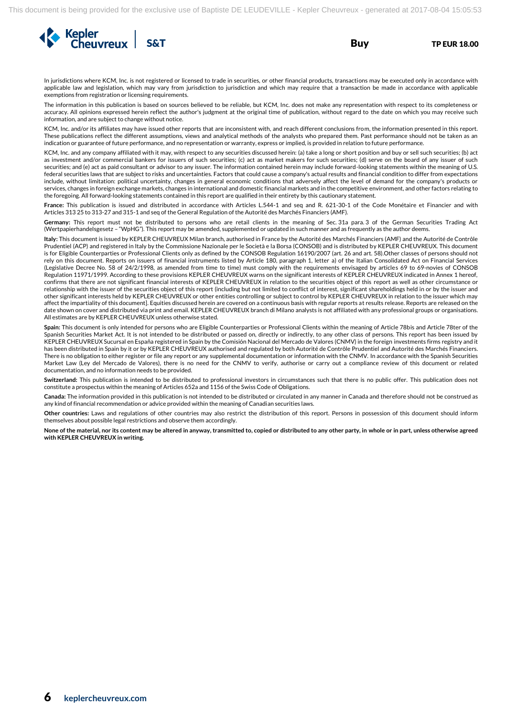

In jurisdictions where KCM, Inc. is not registered or licensed to trade in securities, or other financial products, transactions may be executed only in accordance with applicable law and legislation, which may vary from jurisdiction to jurisdiction and which may require that a transaction be made in accordance with applicable exemptions from registration or licensing requirements.

The information in this publication is based on sources believed to be reliable, but KCM, Inc. does not make any representation with respect to its completeness or accuracy. All opinions expressed herein reflect the author's judgment at the original time of publication, without regard to the date on which you may receive such information, and are subject to change without notice.

KCM, Inc. and/or its affiliates may have issued other reports that are inconsistent with, and reach different conclusions from, the information presented in this report. These publications reflect the different assumptions, views and analytical methods of the analysts who prepared them. Past performance should not be taken as an indication or guarantee of future performance, and no representation or warranty, express or implied, is provided in relation to future performance.

KCM, Inc. and any company affiliated with it may, with respect to any securities discussed herein: (a) take a long or short position and buy or sell such securities; (b) act as investment and/or commercial bankers for issuers of such securities; (c) act as market makers for such securities; (d) serve on the board of any issuer of such securities; and (e) act as paid consultant or advisor to any issuer. The information contained herein may include forward-looking statements within the meaning of U.S. federal securities laws that are subject to risks and uncertainties. Factors that could cause a company's actual results and financial condition to differ from expectations include, without limitation: political uncertainty, changes in general economic conditions that adversely affect the level of demand for the company's products or services, changes in foreign exchange markets, changes in international and domestic financial markets and in the competitive environment, and other factors relating to the foregoing. All forward-looking statements contained in this report are qualified in their entirety by this cautionary statement.

**France:** This publication is issued and distributed in accordance with Articles L.544-1 and seq and R. 621-30-1 of the Code Monétaire et Financier and with Articles 313 25 to 313-27 and 315-1 and seq of the General Regulation of the Autorité des Marchés Financiers (AMF).

**Germany:** This report must not be distributed to persons who are retail clients in the meaning of Sec. 31a para. 3 of the German Securities Trading Act (Wertpapierhandelsgesetz – "WpHG"). This report may be amended, supplemented or updated in such manner and as frequently as the author deems.

**Italy:** This document is issued by KEPLER CHEUVREUX Milan branch, authorised in France by the Autorité des Marchés Financiers (AMF) and the Autorité de Contrôle Prudentiel (ACP) and registered in Italy by the Commissione Nazionale per le Società e la Borsa (CONSOB) and is distributed by KEPLER CHEUVREUX. This document is for Eligible Counterparties or Professional Clients only as defined by the CONSOB Regulation 16190/2007 (art. 26 and art. 58).Other classes of persons should not rely on this document. Reports on issuers of financial instruments listed by Article 180, paragraph 1, letter a) of the Italian Consolidated Act on Financial Services (Legislative Decree No. 58 of 24/2/1998, as amended from time to time) must comply with the requirements envisaged by articles 69 to 69-novies of CONSOB Regulation 11971/1999. According to these provisions KEPLER CHEUVREUX warns on the significant interests of KEPLER CHEUVREUX indicated in Annex 1 hereof, confirms that there are not significant financial interests of KEPLER CHEUVREUX in relation to the securities object of this report as well as other circumstance or relationship with the issuer of the securities object of this report (including but not limited to conflict of interest, significant shareholdings held in or by the issuer and other significant interests held by KEPLER CHEUVREUX or other entities controlling or subject to control by KEPLER CHEUVREUX in relation to the issuer which may affect the impartiality of this document]. Equities discussed herein are covered on a continuous basis with regular reports at results release. Reports are released on the date shown on cover and distributed via print and email. KEPLER CHEUVREUX branch di Milano analysts is not affiliated with any professional groups or organisations. All estimates are by KEPLER CHEUVREUX unless otherwise stated.

**Spain:** This document is only intended for persons who are Eligible Counterparties or Professional Clients within the meaning of Article 78bis and Article 78ter of the Spanish Securities Market Act. It is not intended to be distributed or passed on, directly or indirectly, to any other class of persons. This report has been issued by KEPLER CHEUVREUX Sucursal en España registered in Spain by the Comisión Nacional del Mercado de Valores (CNMV) in the foreign investments firms registry and it has been distributed in Spain by it or by KEPLER CHEUVREUX authorised and regulated by both Autorité de Contrôle Prudentiel and Autorité des Marchés Financiers. There is no obligation to either register or file any report or any supplemental documentation or information with the CNMV. In accordance with the Spanish Securities Market Law (Ley del Mercado de Valores), there is no need for the CNMV to verify, authorise or carry out a compliance review of this document or related documentation, and no information needs to be provided.

**Switzerland:** This publication is intended to be distributed to professional investors in circumstances such that there is no public offer. This publication does not constitute a prospectus within the meaning of Articles 652a and 1156 of the Swiss Code of Obligations.

**Canada:** The information provided in this publication is not intended to be distributed or circulated in any manner in Canada and therefore should not be construed as any kind of financial recommendation or advice provided within the meaning of Canadian securities laws.

**Other countries:** Laws and regulations of other countries may also restrict the distribution of this report. Persons in possession of this document should inform themselves about possible legal restrictions and observe them accordingly.

**None of the material, nor its content may be altered in anyway, transmitted to, copied or distributed to any other party, in whole or in part, unless otherwise agreed with KEPLER CHEUVREUX in writing.**